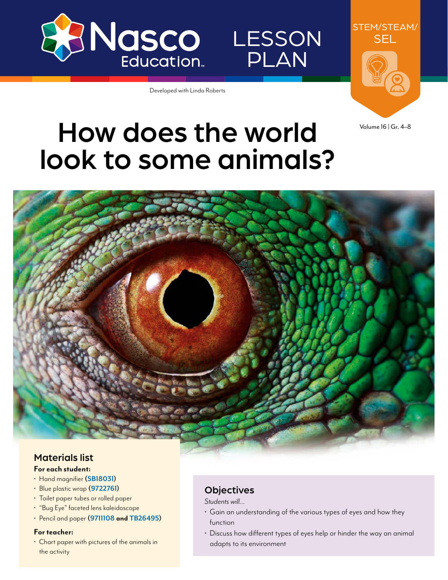

LESSON PLAN

Developed with Linda Roberts



Volume 16 | Gr. 4–8

# How does the world look to some animals?



### Materials list **For each student:**

- Hand magnifier **([SB18031](https://www.enasco.com/p/SB18031))**
- Blue plastic wrap **[\(9722761](https://www.enasco.com/p/9722761))**
- Toilet paper tubes or rolled paper
- "Bug Eye" faceted lens kaleidoscope
- Pencil and paper **[\(9711108](https://www.enasco.com/p/9711108) and [TB26495](https://www.enasco.com/p/TB26495))**

#### **For teacher:**

• Chart paper with pictures of the animals in the activity

## **Objectives**

*Students will…*

- Gain an understanding of the various types of eyes and how they function
- Discuss how different types of eyes help or hinder the way an animal adapts to its environment